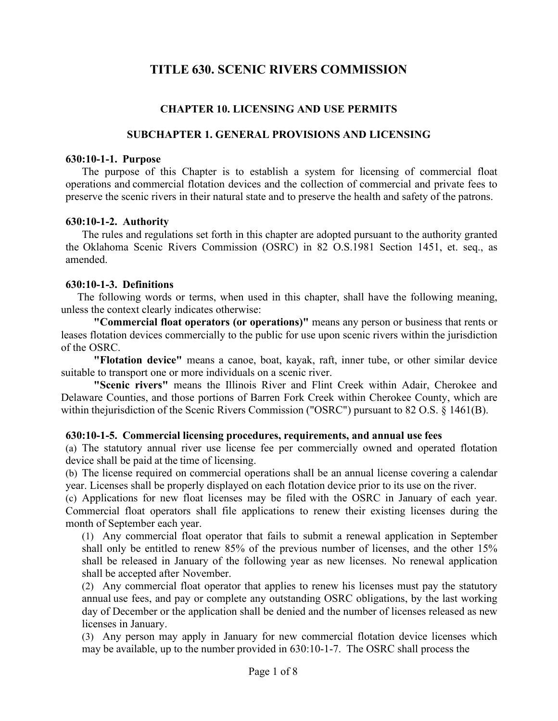# **TITLE 630. SCENIC RIVERS COMMISSION**

# **CHAPTER 10. LICENSING AND USE PERMITS**

## **SUBCHAPTER 1. GENERAL PROVISIONS AND LICENSING**

#### **630:10-1-1. Purpose**

The purpose of this Chapter is to establish a system for licensing of commercial float operations and commercial flotation devices and the collection of commercial and private fees to preserve the scenic rivers in their natural state and to preserve the health and safety of the patrons.

## **630:10-1-2. Authority**

The rules and regulations set forth in this chapter are adopted pursuant to the authority granted the Oklahoma Scenic Rivers Commission (OSRC) in 82 O.S.1981 Section 1451, et. seq., as amended.

## **630:10-1-3. Definitions**

The following words or terms, when used in this chapter, shall have the following meaning, unless the context clearly indicates otherwise:

**"Commercial float operators (or operations)"** means any person or business that rents or leases flotation devices commercially to the public for use upon scenic rivers within the jurisdiction of the OSRC.

**"Flotation device"** means a canoe, boat, kayak, raft, inner tube, or other similar device suitable to transport one or more individuals on a scenic river.

**"Scenic rivers"** means the Illinois River and Flint Creek within Adair, Cherokee and Delaware Counties, and those portions of Barren Fork Creek within Cherokee County, which are within thejurisdiction of the Scenic Rivers Commission ("OSRC") pursuant to 82 O.S. § 1461(B).

## **630:10-1-5. Commercial licensing procedures, requirements, and annual use fees**

(a) The statutory annual river use license fee per commercially owned and operated flotation device shall be paid at the time of licensing.

(b) The license required on commercial operations shall be an annual license covering a calendar year. Licenses shall be properly displayed on each flotation device prior to its use on the river.

(c) Applications for new float licenses may be filed with the OSRC in January of each year. Commercial float operators shall file applications to renew their existing licenses during the month of September each year.

(1) Any commercial float operator that fails to submit a renewal application in September shall only be entitled to renew 85% of the previous number of licenses, and the other 15% shall be released in January of the following year as new licenses. No renewal application shall be accepted after November.

(2) Any commercial float operator that applies to renew his licenses must pay the statutory annual use fees, and pay or complete any outstanding OSRC obligations, by the last working day of December or the application shall be denied and the number of licenses released as new licenses in January.

(3) Any person may apply in January for new commercial flotation device licenses which may be available, up to the number provided in 630:10-1-7. The OSRC shall process the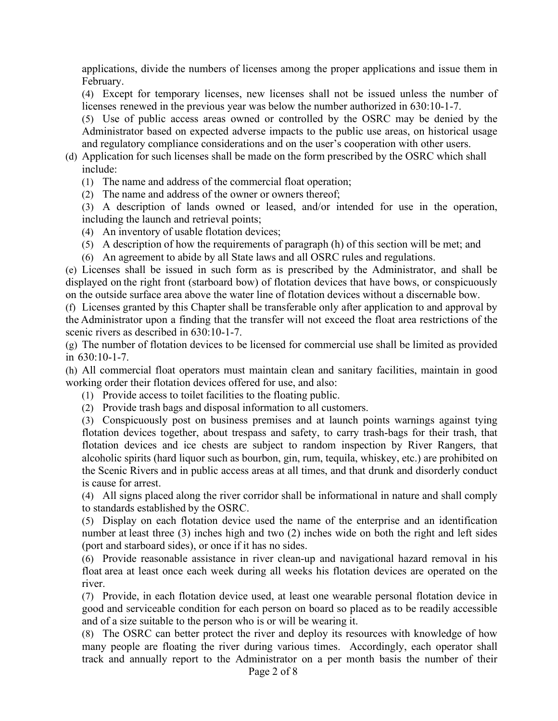applications, divide the numbers of licenses among the proper applications and issue them in February.

(4) Except for temporary licenses, new licenses shall not be issued unless the number of licenses renewed in the previous year was below the number authorized in 630:10-1-7.

(5) Use of public access areas owned or controlled by the OSRC may be denied by the Administrator based on expected adverse impacts to the public use areas, on historical usage and regulatory compliance considerations and on the user's cooperation with other users.

(d) Application for such licenses shall be made on the form prescribed by the OSRC which shall include:

(1) The name and address of the commercial float operation;

(2) The name and address of the owner or owners thereof;

(3) A description of lands owned or leased, and/or intended for use in the operation, including the launch and retrieval points;

(4) An inventory of usable flotation devices;

(5) A description of how the requirements of paragraph (h) of this section will be met; and

(6) An agreement to abide by all State laws and all OSRC rules and regulations.

(e) Licenses shall be issued in such form as is prescribed by the Administrator, and shall be displayed on the right front (starboard bow) of flotation devices that have bows, or conspicuously on the outside surface area above the water line of flotation devices without a discernable bow.

(f) Licenses granted by this Chapter shall be transferable only after application to and approval by the Administrator upon a finding that the transfer will not exceed the float area restrictions of the scenic rivers as described in 630:10-1-7.

(g) The number of flotation devices to be licensed for commercial use shall be limited as provided in 630:10-1-7.

(h) All commercial float operators must maintain clean and sanitary facilities, maintain in good working order their flotation devices offered for use, and also:

- (1) Provide access to toilet facilities to the floating public.
- (2) Provide trash bags and disposal information to all customers.

(3) Conspicuously post on business premises and at launch points warnings against tying flotation devices together, about trespass and safety, to carry trash-bags for their trash, that flotation devices and ice chests are subject to random inspection by River Rangers, that alcoholic spirits (hard liquor such as bourbon, gin, rum, tequila, whiskey, etc.) are prohibited on the Scenic Rivers and in public access areas at all times, and that drunk and disorderly conduct is cause for arrest.

(4) All signs placed along the river corridor shall be informational in nature and shall comply to standards established by the OSRC.

(5) Display on each flotation device used the name of the enterprise and an identification number at least three (3) inches high and two (2) inches wide on both the right and left sides (port and starboard sides), or once if it has no sides.

(6) Provide reasonable assistance in river clean-up and navigational hazard removal in his float area at least once each week during all weeks his flotation devices are operated on the river.

(7) Provide, in each flotation device used, at least one wearable personal flotation device in good and serviceable condition for each person on board so placed as to be readily accessible and of a size suitable to the person who is or will be wearing it.

(8) The OSRC can better protect the river and deploy its resources with knowledge of how many people are floating the river during various times. Accordingly, each operator shall track and annually report to the Administrator on a per month basis the number of their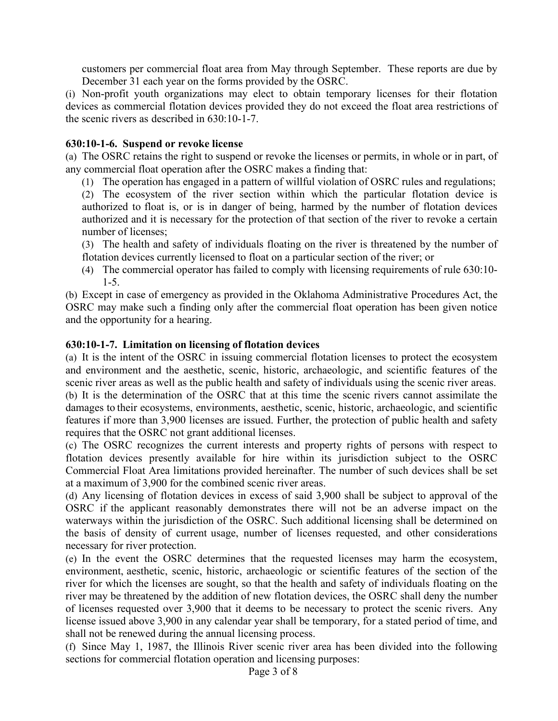customers per commercial float area from May through September. These reports are due by December 31 each year on the forms provided by the OSRC.

(i) Non-profit youth organizations may elect to obtain temporary licenses for their flotation devices as commercial flotation devices provided they do not exceed the float area restrictions of the scenic rivers as described in 630:10-1-7.

## **630:10-1-6. Suspend or revoke license**

(a) The OSRC retains the right to suspend or revoke the licenses or permits, in whole or in part, of any commercial float operation after the OSRC makes a finding that:

(1) The operation has engaged in a pattern of willful violation of OSRC rules and regulations;

(2) The ecosystem of the river section within which the particular flotation device is authorized to float is, or is in danger of being, harmed by the number of flotation devices authorized and it is necessary for the protection of that section of the river to revoke a certain number of licenses;

(3) The health and safety of individuals floating on the river is threatened by the number of flotation devices currently licensed to float on a particular section of the river; or

(4) The commercial operator has failed to comply with licensing requirements of rule 630:10- 1-5.

(b) Except in case of emergency as provided in the Oklahoma Administrative Procedures Act, the OSRC may make such a finding only after the commercial float operation has been given notice and the opportunity for a hearing.

## **630:10-1-7. Limitation on licensing of flotation devices**

(a) It is the intent of the OSRC in issuing commercial flotation licenses to protect the ecosystem and environment and the aesthetic, scenic, historic, archaeologic, and scientific features of the scenic river areas as well as the public health and safety of individuals using the scenic river areas. (b) It is the determination of the OSRC that at this time the scenic rivers cannot assimilate the damages to their ecosystems, environments, aesthetic, scenic, historic, archaeologic, and scientific features if more than 3,900 licenses are issued. Further, the protection of public health and safety requires that the OSRC not grant additional licenses.

(c) The OSRC recognizes the current interests and property rights of persons with respect to flotation devices presently available for hire within its jurisdiction subject to the OSRC Commercial Float Area limitations provided hereinafter. The number of such devices shall be set at a maximum of 3,900 for the combined scenic river areas.

(d) Any licensing of flotation devices in excess of said 3,900 shall be subject to approval of the OSRC if the applicant reasonably demonstrates there will not be an adverse impact on the waterways within the jurisdiction of the OSRC. Such additional licensing shall be determined on the basis of density of current usage, number of licenses requested, and other considerations necessary for river protection.

(e) In the event the OSRC determines that the requested licenses may harm the ecosystem, environment, aesthetic, scenic, historic, archaeologic or scientific features of the section of the river for which the licenses are sought, so that the health and safety of individuals floating on the river may be threatened by the addition of new flotation devices, the OSRC shall deny the number of licenses requested over 3,900 that it deems to be necessary to protect the scenic rivers. Any license issued above 3,900 in any calendar year shall be temporary, for a stated period of time, and shall not be renewed during the annual licensing process.

(f) Since May 1, 1987, the Illinois River scenic river area has been divided into the following sections for commercial flotation operation and licensing purposes: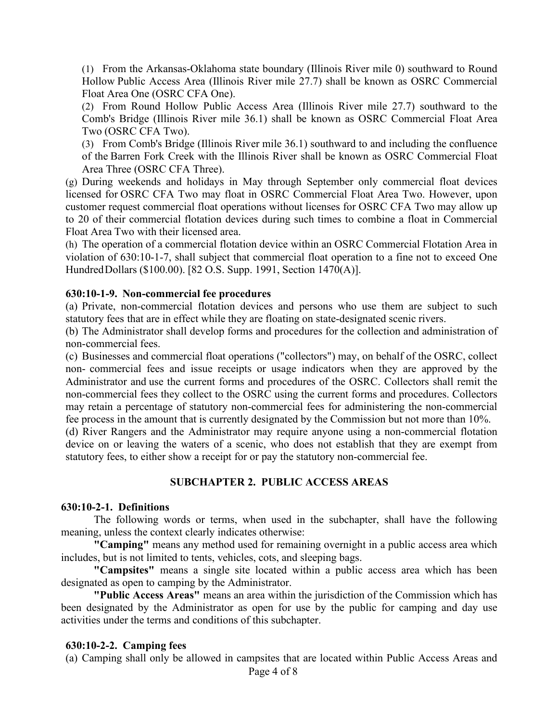(1) From the Arkansas-Oklahoma state boundary (Illinois River mile 0) southward to Round Hollow Public Access Area (Illinois River mile 27.7) shall be known as OSRC Commercial Float Area One (OSRC CFA One).

(2) From Round Hollow Public Access Area (Illinois River mile 27.7) southward to the Comb's Bridge (Illinois River mile 36.1) shall be known as OSRC Commercial Float Area Two (OSRC CFA Two).

(3) From Comb's Bridge (Illinois River mile 36.1) southward to and including the confluence of the Barren Fork Creek with the Illinois River shall be known as OSRC Commercial Float Area Three (OSRC CFA Three).

(g) During weekends and holidays in May through September only commercial float devices licensed for OSRC CFA Two may float in OSRC Commercial Float Area Two. However, upon customer request commercial float operations without licenses for OSRC CFA Two may allow up to 20 of their commercial flotation devices during such times to combine a float in Commercial Float Area Two with their licensed area.

(h) The operation of a commercial flotation device within an OSRC Commercial Flotation Area in violation of 630:10-1-7, shall subject that commercial float operation to a fine not to exceed One Hundred Dollars (\$100.00). [82 O.S. Supp. 1991, Section 1470(A)].

#### **630:10-1-9. Non-commercial fee procedures**

(a) Private, non-commercial flotation devices and persons who use them are subject to such statutory fees that are in effect while they are floating on state-designated scenic rivers.

(b) The Administrator shall develop forms and procedures for the collection and administration of non-commercial fees.

(c) Businesses and commercial float operations ("collectors") may, on behalf of the OSRC, collect non- commercial fees and issue receipts or usage indicators when they are approved by the Administrator and use the current forms and procedures of the OSRC. Collectors shall remit the non-commercial fees they collect to the OSRC using the current forms and procedures. Collectors may retain a percentage of statutory non-commercial fees for administering the non-commercial fee process in the amount that is currently designated by the Commission but not more than 10%.

(d) River Rangers and the Administrator may require anyone using a non-commercial flotation device on or leaving the waters of a scenic, who does not establish that they are exempt from statutory fees, to either show a receipt for or pay the statutory non-commercial fee.

## **SUBCHAPTER 2. PUBLIC ACCESS AREAS**

#### **630:10-2-1. Definitions**

The following words or terms, when used in the subchapter, shall have the following meaning, unless the context clearly indicates otherwise:

**"Camping"** means any method used for remaining overnight in a public access area which includes, but is not limited to tents, vehicles, cots, and sleeping bags.

**"Campsites"** means a single site located within a public access area which has been designated as open to camping by the Administrator.

**"Public Access Areas"** means an area within the jurisdiction of the Commission which has been designated by the Administrator as open for use by the public for camping and day use activities under the terms and conditions of this subchapter.

#### **630:10-2-2. Camping fees**

(a) Camping shall only be allowed in campsites that are located within Public Access Areas and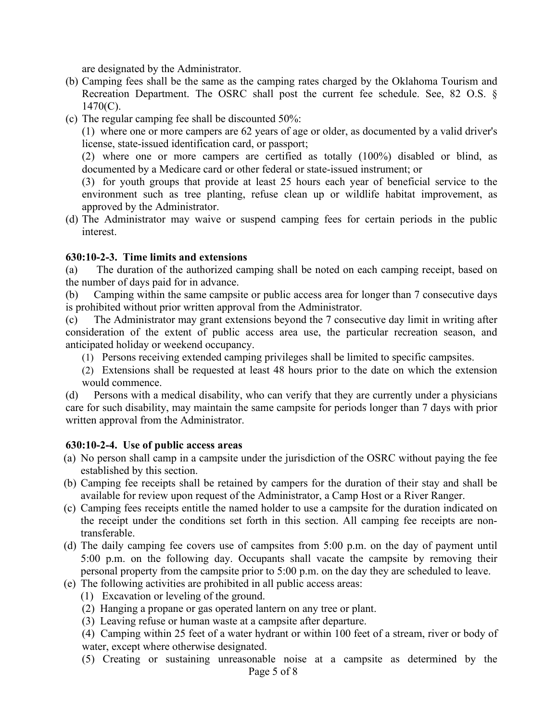are designated by the Administrator.

- (b) Camping fees shall be the same as the camping rates charged by the Oklahoma Tourism and Recreation Department. The OSRC shall post the current fee schedule. See, 82 O.S. § 1470(C).
- (c) The regular camping fee shall be discounted 50%:

(1) where one or more campers are 62 years of age or older, as documented by a valid driver's license, state-issued identification card, or passport;

(2) where one or more campers are certified as totally (100%) disabled or blind, as documented by a Medicare card or other federal or state-issued instrument; or

(3) for youth groups that provide at least 25 hours each year of beneficial service to the environment such as tree planting, refuse clean up or wildlife habitat improvement, as approved by the Administrator.

(d) The Administrator may waive or suspend camping fees for certain periods in the public interest.

## **630:10-2-3. Time limits and extensions**

(a) The duration of the authorized camping shall be noted on each camping receipt, based on the number of days paid for in advance.

(b) Camping within the same campsite or public access area for longer than 7 consecutive days is prohibited without prior written approval from the Administrator.

(c) The Administrator may grant extensions beyond the 7 consecutive day limit in writing after consideration of the extent of public access area use, the particular recreation season, and anticipated holiday or weekend occupancy.

- (1) Persons receiving extended camping privileges shall be limited to specific campsites.
- (2) Extensions shall be requested at least 48 hours prior to the date on which the extension would commence.

(d) Persons with a medical disability, who can verify that they are currently under a physicians care for such disability, may maintain the same campsite for periods longer than 7 days with prior written approval from the Administrator.

## **630:10-2-4. Use of public access areas**

- (a) No person shall camp in a campsite under the jurisdiction of the OSRC without paying the fee established by this section.
- (b) Camping fee receipts shall be retained by campers for the duration of their stay and shall be available for review upon request of the Administrator, a Camp Host or a River Ranger.
- (c) Camping fees receipts entitle the named holder to use a campsite for the duration indicated on the receipt under the conditions set forth in this section. All camping fee receipts are nontransferable.
- (d) The daily camping fee covers use of campsites from 5:00 p.m. on the day of payment until 5:00 p.m. on the following day. Occupants shall vacate the campsite by removing their personal property from the campsite prior to 5:00 p.m. on the day they are scheduled to leave.
- (e) The following activities are prohibited in all public access areas:
	- (1) Excavation or leveling of the ground.
	- (2) Hanging a propane or gas operated lantern on any tree or plant.
	- (3) Leaving refuse or human waste at a campsite after departure.

(4) Camping within 25 feet of a water hydrant or within 100 feet of a stream, river or body of water, except where otherwise designated.

Page 5 of 8 (5) Creating or sustaining unreasonable noise at a campsite as determined by the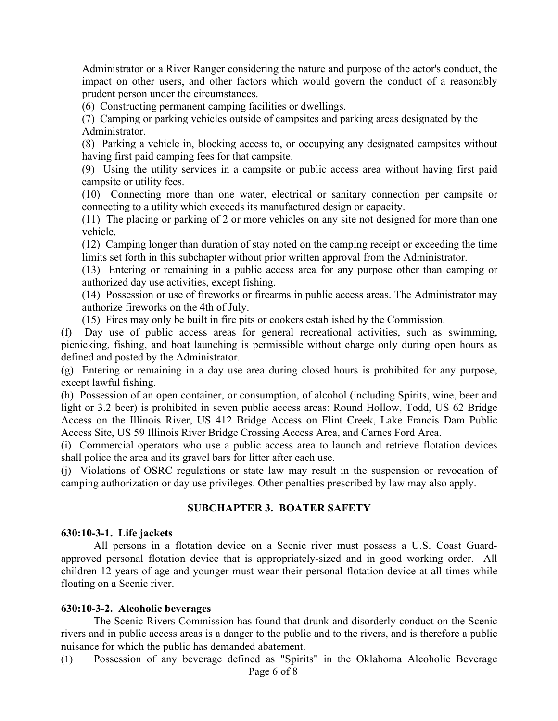Administrator or a River Ranger considering the nature and purpose of the actor's conduct, the impact on other users, and other factors which would govern the conduct of a reasonably prudent person under the circumstances.

(6) Constructing permanent camping facilities or dwellings.

(7) Camping or parking vehicles outside of campsites and parking areas designated by the Administrator.

(8) Parking a vehicle in, blocking access to, or occupying any designated campsites without having first paid camping fees for that campsite.

(9) Using the utility services in a campsite or public access area without having first paid campsite or utility fees.

(10) Connecting more than one water, electrical or sanitary connection per campsite or connecting to a utility which exceeds its manufactured design or capacity.

(11) The placing or parking of 2 or more vehicles on any site not designed for more than one vehicle.

(12) Camping longer than duration of stay noted on the camping receipt or exceeding the time limits set forth in this subchapter without prior written approval from the Administrator.

(13) Entering or remaining in a public access area for any purpose other than camping or authorized day use activities, except fishing.

(14) Possession or use of fireworks or firearms in public access areas. The Administrator may authorize fireworks on the 4th of July.

(15) Fires may only be built in fire pits or cookers established by the Commission.

(f) Day use of public access areas for general recreational activities, such as swimming, picnicking, fishing, and boat launching is permissible without charge only during open hours as defined and posted by the Administrator.

(g) Entering or remaining in a day use area during closed hours is prohibited for any purpose, except lawful fishing.

(h) Possession of an open container, or consumption, of alcohol (including Spirits, wine, beer and light or 3.2 beer) is prohibited in seven public access areas: Round Hollow, Todd, US 62 Bridge Access on the Illinois River, US 412 Bridge Access on Flint Creek, Lake Francis Dam Public Access Site, US 59 Illinois River Bridge Crossing Access Area, and Carnes Ford Area.

(i) Commercial operators who use a public access area to launch and retrieve flotation devices shall police the area and its gravel bars for litter after each use.

(j) Violations of OSRC regulations or state law may result in the suspension or revocation of camping authorization or day use privileges. Other penalties prescribed by law may also apply.

## **SUBCHAPTER 3. BOATER SAFETY**

#### **630:10-3-1. Life jackets**

All persons in a flotation device on a Scenic river must possess a U.S. Coast Guardapproved personal flotation device that is appropriately-sized and in good working order. All children 12 years of age and younger must wear their personal flotation device at all times while floating on a Scenic river.

#### **630:10-3-2. Alcoholic beverages**

The Scenic Rivers Commission has found that drunk and disorderly conduct on the Scenic rivers and in public access areas is a danger to the public and to the rivers, and is therefore a public nuisance for which the public has demanded abatement.

Page 6 of 8 (1) Possession of any beverage defined as "Spirits" in the Oklahoma Alcoholic Beverage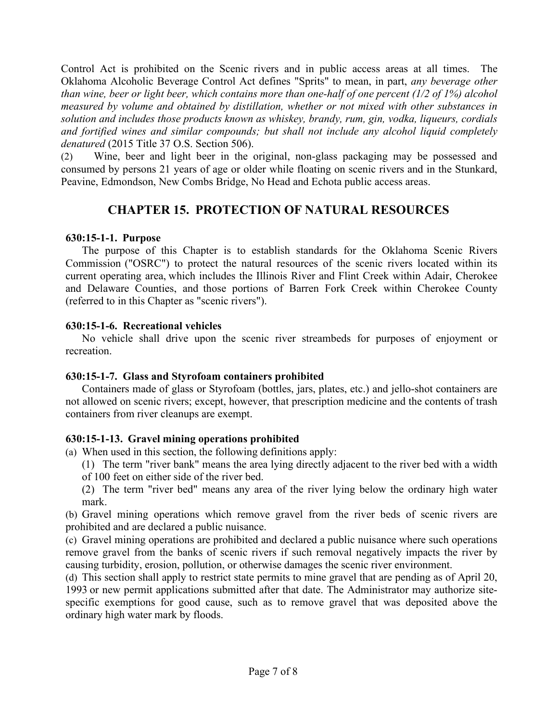Control Act is prohibited on the Scenic rivers and in public access areas at all times. The Oklahoma Alcoholic Beverage Control Act defines "Sprits" to mean, in part, *any beverage other than wine, beer or light beer, which contains more than one-half of one percent (1/2 of 1%) alcohol measured by volume and obtained by distillation, whether or not mixed with other substances in solution and includes those products known as whiskey, brandy, rum, gin, vodka, liqueurs, cordials and fortified wines and similar compounds; but shall not include any alcohol liquid completely denatured* (2015 Title 37 O.S. Section 506).

(2) Wine, beer and light beer in the original, non-glass packaging may be possessed and consumed by persons 21 years of age or older while floating on scenic rivers and in the Stunkard, Peavine, Edmondson, New Combs Bridge, No Head and Echota public access areas.

# **CHAPTER 15. PROTECTION OF NATURAL RESOURCES**

## **630:15-1-1. Purpose**

The purpose of this Chapter is to establish standards for the Oklahoma Scenic Rivers Commission ("OSRC") to protect the natural resources of the scenic rivers located within its current operating area, which includes the Illinois River and Flint Creek within Adair, Cherokee and Delaware Counties, and those portions of Barren Fork Creek within Cherokee County (referred to in this Chapter as "scenic rivers").

## **630:15-1-6. Recreational vehicles**

No vehicle shall drive upon the scenic river streambeds for purposes of enjoyment or recreation.

# **630:15-1-7. Glass and Styrofoam containers prohibited**

Containers made of glass or Styrofoam (bottles, jars, plates, etc.) and jello-shot containers are not allowed on scenic rivers; except, however, that prescription medicine and the contents of trash containers from river cleanups are exempt.

# **630:15-1-13. Gravel mining operations prohibited**

- (a) When used in this section, the following definitions apply:
	- (1) The term "river bank" means the area lying directly adjacent to the river bed with a width
	- of 100 feet on either side of the river bed.
	- (2) The term "river bed" means any area of the river lying below the ordinary high water mark.

(b) Gravel mining operations which remove gravel from the river beds of scenic rivers are prohibited and are declared a public nuisance.

(c) Gravel mining operations are prohibited and declared a public nuisance where such operations remove gravel from the banks of scenic rivers if such removal negatively impacts the river by causing turbidity, erosion, pollution, or otherwise damages the scenic river environment.

(d) This section shall apply to restrict state permits to mine gravel that are pending as of April 20, 1993 or new permit applications submitted after that date. The Administrator may authorize sitespecific exemptions for good cause, such as to remove gravel that was deposited above the ordinary high water mark by floods.